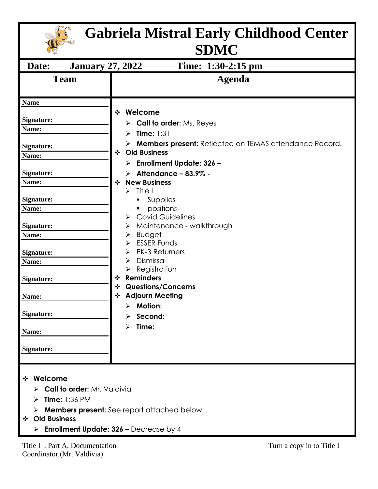| <b>Gabriela Mistral Early Childhood Center</b><br><b>SDMC</b>                                                                                                                                                                                        |                                                                                                                                                                                                                                                                                                                                                                                                                                                                                                                                                                                                                                                                       |  |  |  |  |  |
|------------------------------------------------------------------------------------------------------------------------------------------------------------------------------------------------------------------------------------------------------|-----------------------------------------------------------------------------------------------------------------------------------------------------------------------------------------------------------------------------------------------------------------------------------------------------------------------------------------------------------------------------------------------------------------------------------------------------------------------------------------------------------------------------------------------------------------------------------------------------------------------------------------------------------------------|--|--|--|--|--|
| <b>January 27, 2022</b><br>Date:                                                                                                                                                                                                                     | Time: 1:30-2:15 pm                                                                                                                                                                                                                                                                                                                                                                                                                                                                                                                                                                                                                                                    |  |  |  |  |  |
| <b>Team</b>                                                                                                                                                                                                                                          | <b>Agenda</b>                                                                                                                                                                                                                                                                                                                                                                                                                                                                                                                                                                                                                                                         |  |  |  |  |  |
| <b>Name</b><br><b>Signature:</b><br>Name:<br>Signature:<br>Name:<br>Signature:<br>Name:<br><b>Signature:</b><br>Name:<br><b>Signature:</b><br>Name:<br><b>Signature:</b><br>Name:<br><b>Signature:</b><br>Name:<br>Signature:<br>Name:<br>Signature: | Welcome<br>❖<br>$\triangleright$ Call to order: Ms. Reyes<br>Time: $1:31$<br>⋗<br>> Members present: Reflected on TEMAS attendance Record.<br><b>Old Business</b><br>$\cdot$<br><b>Enrollment Update: 326 -</b><br>≻<br>$\triangleright$ Attendance - 83.9% -<br><b>New Business</b><br>$\cdot$<br>Title I<br>$\blacktriangleright$<br>Supplies<br>٠<br>positions<br>٠<br><b>Covid Guidelines</b><br>Maintenance - walkthrough<br>➤<br><b>Budget</b><br><b>ESSER Funds</b><br><b>PK-3 Returners</b><br>Dismissal<br>⋗<br>Registration<br><b>Reminders</b><br>❖<br><b>Questions/Concerns</b><br>❖<br><b>Adjourn Meeting</b><br><b>Motion:</b><br>Second:<br>Time:<br>⋗ |  |  |  |  |  |
| Welcome<br>❖<br>> Call to order: Mr. Valdivia<br><b>Time: 1:36 PM</b><br>➤<br><b>Old Business</b><br>❖<br><b>Enrollment Update: 326 - Decrease by 4</b>                                                                                              | <b>Members present:</b> See report attached below.                                                                                                                                                                                                                                                                                                                                                                                                                                                                                                                                                                                                                    |  |  |  |  |  |
| Title I, Part A, Documentation                                                                                                                                                                                                                       | Turn a copy in to Title I                                                                                                                                                                                                                                                                                                                                                                                                                                                                                                                                                                                                                                             |  |  |  |  |  |

Coordinator (Mr. Valdivia)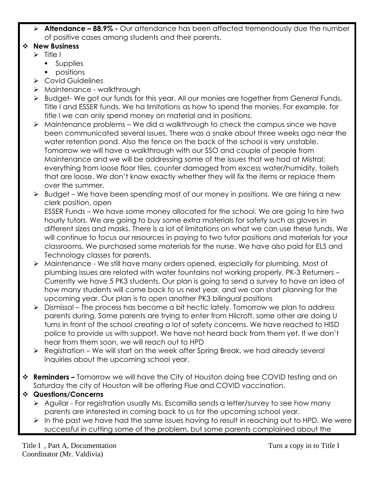➢ **Attendance – 88.9% -** Our attendance has been affected tremendously due the number of positive cases among students and their parents.

## ❖ **New Business**

- ➢ Title I
	- Supplies
	- positions
- ➢ Covid Guidelines
- ➢ Maintenance walkthrough
- ➢ Budget- We got our funds for this year. All our monies are together from General Funds, Title I and ESSER funds. We ha limitations as how to spend the monies. For example, for title I we can only spend money on material and in positions.
- $\triangleright$  Maintenance problems We did a walkthrough to check the campus since we have been communicated several issues. There was a snake about three weeks ago near the water retention pond. Also the fence on the back of the school is very unstable. Tomorrow we will have a walkthrough with our SSO and couple of people from Maintenance and we will be addressing some of the issues that we had at Mistral; everything from loose floor tiles, counter damaged from excess water/humidity, toilets that are loose. We don't know exactly whether they will fix the items or replace them over the summer.
- ➢ Budget We have been spending most of our money in positions. We are hiring a new clerk position, open

ESSER Funds – We have some money allocated for the school. We are going to hire two hourly tutors. We are going to buy some extra materials for safety such as gloves in different sizes and masks. There is a lot of limitations on what we can use these funds. We will continue to focus our resources in paying to two tutor positions and materials for your classrooms. We purchased some materials for the nurse. We have also paid for ELS and Technology classes for parents.

- ➢ Maintenance We still have many orders opened, especially for plumbing. Most of plumbing issues are related with water fountains not working properly. PK-3 Returners – Currently we have 5 PK3 students. Our plan is going to send a survey to have an idea of how many students will come back to us next year, and we can start planning for the upcoming year. Our plan is to open another PK3 bilingual positions
- $\triangleright$  Dismissal The process has become a bit hectic lately. Tomorrow we plan to address parents during. Some parents are trying to enter from Hilcroft, some other are doing U turns in front of the school creating a lot of safety concerns. We have reached to HISD police to provide us with support. We have not heard back from them yet. If we don't hear from them soon, we will reach out to HPD
- ➢ Registration We will start on the week after Spring Break, we had already several inquiries about the upcoming school year.
- ❖ **Reminders –** Tomorrow we will have the City of Houston doing free COVID testing and on Saturday the city of Houston will be offering Flue and COVID vaccination.

## ❖ **Questions/Concerns**

- ➢ Aguilar For registration usually Ms. Escamilla sends a letter/survey to see how many parents are interested in coming back to us for the upcoming school year.
- ➢ In the past we have had the same issues having to result in reaching out to HPD. We were successful in cutting some of the problem, but some parents complained about the